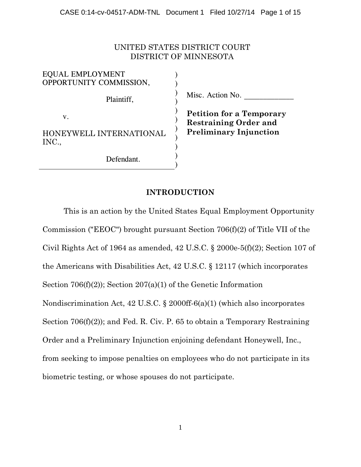## UNITED STATES DISTRICT COURT DISTRICT OF MINNESOTA

| <b>EQUAL EMPLOYMENT</b><br>OPPORTUNITY COMMISSION, |  |
|----------------------------------------------------|--|
| Plaintiff,                                         |  |
| $V_{\cdot}$                                        |  |
| HONEYWELL INTERNATIONAL<br>INC.                    |  |
| Defendant.                                         |  |

Misc. Action No.

**Petition for a Temporary Restraining Order and Preliminary Injunction**

# **INTRODUCTION**

This is an action by the United States Equal Employment Opportunity Commission ("EEOC") brought pursuant Section 706(f)(2) of Title VII of the Civil Rights Act of 1964 as amended, 42 U.S.C. § 2000e-5(f)(2); Section 107 of the Americans with Disabilities Act, 42 U.S.C. § 12117 (which incorporates Section 706(f)(2)); Section 207(a)(1) of the Genetic Information Nondiscrimination Act, 42 U.S.C. § 2000ff-6(a)(1) (which also incorporates Section 706(f)(2)); and Fed. R. Civ. P. 65 to obtain a Temporary Restraining Order and a Preliminary Injunction enjoining defendant Honeywell, Inc., from seeking to impose penalties on employees who do not participate in its biometric testing, or whose spouses do not participate.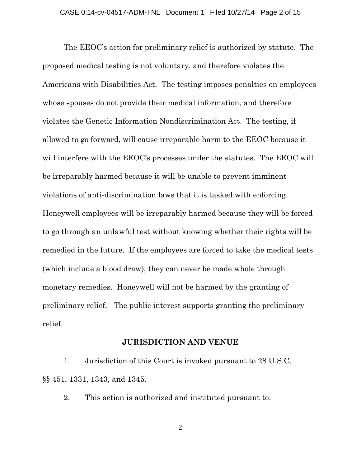The EEOC's action for preliminary relief is authorized by statute. The proposed medical testing is not voluntary, and therefore violates the Americans with Disabilities Act. The testing imposes penalties on employees whose spouses do not provide their medical information, and therefore violates the Genetic Information Nondiscrimination Act. The testing, if allowed to go forward, will cause irreparable harm to the EEOC because it will interfere with the EEOC's processes under the statutes. The EEOC will be irreparably harmed because it will be unable to prevent imminent violations of anti-discrimination laws that it is tasked with enforcing. Honeywell employees will be irreparably harmed because they will be forced to go through an unlawful test without knowing whether their rights will be remedied in the future. If the employees are forced to take the medical tests (which include a blood draw), they can never be made whole through monetary remedies. Honeywell will not be harmed by the granting of preliminary relief. The public interest supports granting the preliminary relief.

### **JURISDICTION AND VENUE**

1. Jurisdiction of this Court is invoked pursuant to 28 U.S.C. §§ 451, 1331, 1343, and 1345.

2. This action is authorized and instituted pursuant to: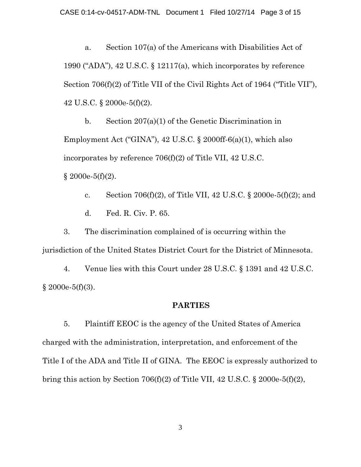a. Section 107(a) of the Americans with Disabilities Act of 1990 ("ADA"), 42 U.S.C. § 12117(a), which incorporates by reference Section 706(f)(2) of Title VII of the Civil Rights Act of 1964 ("Title VII"), 42 U.S.C. § 2000e-5(f)(2).

b. Section 207(a)(1) of the Genetic Discrimination in Employment Act ("GINA"), 42 U.S.C. § 2000ff-6(a)(1), which also incorporates by reference 706(f)(2) of Title VII, 42 U.S.C.  $§ 2000e-5(f)(2).$ 

c. Section 706(f)(2), of Title VII, 42 U.S.C.  $\S 2000e-5(f)(2)$ ; and d. Fed. R. Civ. P. 65.

3. The discrimination complained of is occurring within the jurisdiction of the United States District Court for the District of Minnesota.

4. Venue lies with this Court under 28 U.S.C. § 1391 and 42 U.S.C.  $§ 2000e-5(f)(3).$ 

### **PARTIES**

5. Plaintiff EEOC is the agency of the United States of America charged with the administration, interpretation, and enforcement of the Title I of the ADA and Title II of GINA. The EEOC is expressly authorized to bring this action by Section 706(f)(2) of Title VII, 42 U.S.C.  $\S$  2000e-5(f)(2),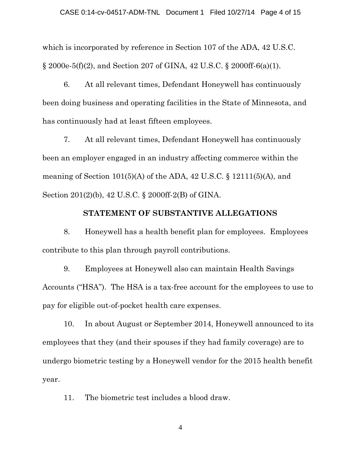which is incorporated by reference in Section 107 of the ADA, 42 U.S.C. § 2000e-5(f)(2), and Section 207 of GINA, 42 U.S.C. § 2000ff-6(a)(1).

6. At all relevant times, Defendant Honeywell has continuously been doing business and operating facilities in the State of Minnesota, and has continuously had at least fifteen employees.

7. At all relevant times, Defendant Honeywell has continuously been an employer engaged in an industry affecting commerce within the meaning of Section  $101(5)(A)$  of the ADA, 42 U.S.C. § 12111(5)(A), and Section 201(2)(b), 42 U.S.C. § 2000ff-2(B) of GINA.

### **STATEMENT OF SUBSTANTIVE ALLEGATIONS**

8. Honeywell has a health benefit plan for employees. Employees contribute to this plan through payroll contributions.

9. Employees at Honeywell also can maintain Health Savings Accounts ("HSA"). The HSA is a tax-free account for the employees to use to pay for eligible out-of-pocket health care expenses.

10. In about August or September 2014, Honeywell announced to its employees that they (and their spouses if they had family coverage) are to undergo biometric testing by a Honeywell vendor for the 2015 health benefit year.

11. The biometric test includes a blood draw.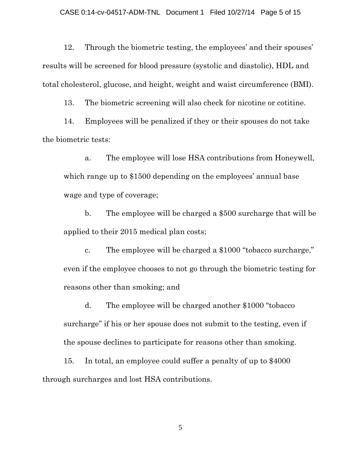12. Through the biometric testing, the employees' and their spouses' results will be screened for blood pressure (systolic and diastolic), HDL and total cholesterol, glucose, and height, weight and waist circumference (BMI).

13. The biometric screening will also check for nicotine or cotitine.

14. Employees will be penalized if they or their spouses do not take the biometric tests:

a. The employee will lose HSA contributions from Honeywell, which range up to \$1500 depending on the employees' annual base wage and type of coverage;

b. The employee will be charged a \$500 surcharge that will be applied to their 2015 medical plan costs;

c. The employee will be charged a \$1000 "tobacco surcharge," even if the employee chooses to not go through the biometric testing for reasons other than smoking; and

d. The employee will be charged another \$1000 "tobacco surcharge" if his or her spouse does not submit to the testing, even if the spouse declines to participate for reasons other than smoking.

15. In total, an employee could suffer a penalty of up to \$4000 through surcharges and lost HSA contributions.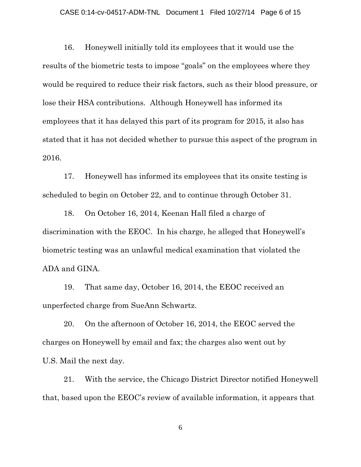#### CASE 0:14-cv-04517-ADM-TNL Document 1 Filed 10/27/14 Page 6 of 15

16. Honeywell initially told its employees that it would use the results of the biometric tests to impose "goals" on the employees where they would be required to reduce their risk factors, such as their blood pressure, or lose their HSA contributions. Although Honeywell has informed its employees that it has delayed this part of its program for 2015, it also has stated that it has not decided whether to pursue this aspect of the program in 2016.

17. Honeywell has informed its employees that its onsite testing is scheduled to begin on October 22, and to continue through October 31.

18. On October 16, 2014, Keenan Hall filed a charge of discrimination with the EEOC. In his charge, he alleged that Honeywell's biometric testing was an unlawful medical examination that violated the ADA and GINA.

19. That same day, October 16, 2014, the EEOC received an unperfected charge from SueAnn Schwartz.

20. On the afternoon of October 16, 2014, the EEOC served the charges on Honeywell by email and fax; the charges also went out by U.S. Mail the next day.

21. With the service, the Chicago District Director notified Honeywell that, based upon the EEOC's review of available information, it appears that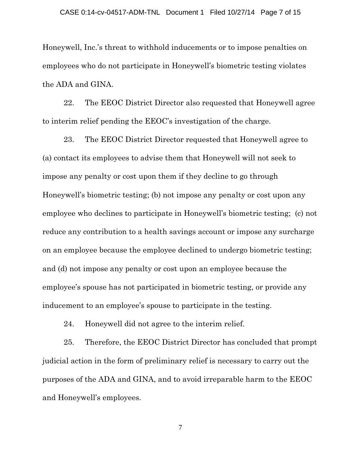Honeywell, Inc.'s threat to withhold inducements or to impose penalties on employees who do not participate in Honeywell's biometric testing violates the ADA and GINA.

22. The EEOC District Director also requested that Honeywell agree to interim relief pending the EEOC's investigation of the charge.

23. The EEOC District Director requested that Honeywell agree to (a) contact its employees to advise them that Honeywell will not seek to impose any penalty or cost upon them if they decline to go through Honeywell's biometric testing; (b) not impose any penalty or cost upon any employee who declines to participate in Honeywell's biometric testing; (c) not reduce any contribution to a health savings account or impose any surcharge on an employee because the employee declined to undergo biometric testing; and (d) not impose any penalty or cost upon an employee because the employee's spouse has not participated in biometric testing, or provide any inducement to an employee's spouse to participate in the testing.

24. Honeywell did not agree to the interim relief.

25. Therefore, the EEOC District Director has concluded that prompt judicial action in the form of preliminary relief is necessary to carry out the purposes of the ADA and GINA, and to avoid irreparable harm to the EEOC and Honeywell's employees.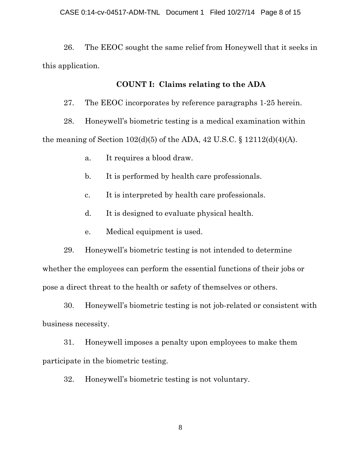26. The EEOC sought the same relief from Honeywell that it seeks in this application.

### **COUNT I: Claims relating to the ADA**

27. The EEOC incorporates by reference paragraphs 1-25 herein.

28. Honeywell's biometric testing is a medical examination within the meaning of Section  $102(d)(5)$  of the ADA, 42 U.S.C. § 12112(d)(4)(A).

a. It requires a blood draw.

b. It is performed by health care professionals.

c. It is interpreted by health care professionals.

d. It is designed to evaluate physical health.

e. Medical equipment is used.

29. Honeywell's biometric testing is not intended to determine whether the employees can perform the essential functions of their jobs or pose a direct threat to the health or safety of themselves or others.

30. Honeywell's biometric testing is not job-related or consistent with business necessity.

31. Honeywell imposes a penalty upon employees to make them participate in the biometric testing.

32. Honeywell's biometric testing is not voluntary.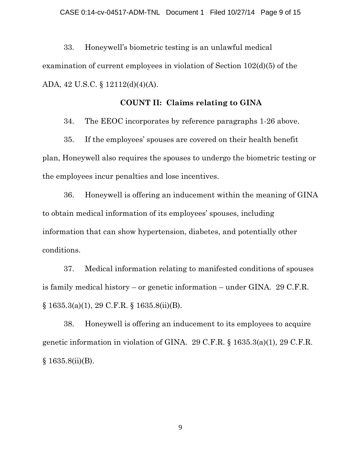33. Honeywell's biometric testing is an unlawful medical examination of current employees in violation of Section 102(d)(5) of the ADA, 42 U.S.C. § 12112(d)(4)(A).

## **COUNT II: Claims relating to GINA**

34. The EEOC incorporates by reference paragraphs 1-26 above.

35. If the employees' spouses are covered on their health benefit plan, Honeywell also requires the spouses to undergo the biometric testing or the employees incur penalties and lose incentives.

36. Honeywell is offering an inducement within the meaning of GINA to obtain medical information of its employees' spouses, including information that can show hypertension, diabetes, and potentially other conditions.

37. Medical information relating to manifested conditions of spouses is family medical history – or genetic information – under GINA. 29 C.F.R. § 1635.3(a)(1), 29 C.F.R. § 1635.8(ii)(B).

38. Honeywell is offering an inducement to its employees to acquire genetic information in violation of GINA. 29 C.F.R. § 1635.3(a)(1), 29 C.F.R.  $§ 1635.8(ii)(B).$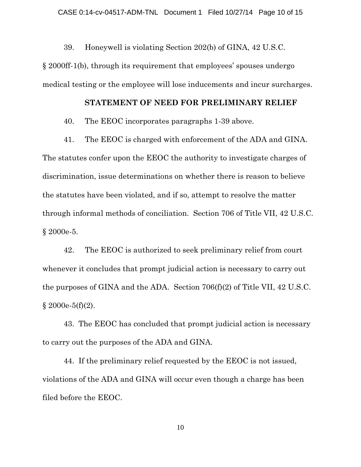39. Honeywell is violating Section 202(b) of GINA, 42 U.S.C.

§ 2000ff-1(b), through its requirement that employees' spouses undergo medical testing or the employee will lose inducements and incur surcharges.

### **STATEMENT OF NEED FOR PRELIMINARY RELIEF**

40. The EEOC incorporates paragraphs 1-39 above.

41. The EEOC is charged with enforcement of the ADA and GINA. The statutes confer upon the EEOC the authority to investigate charges of discrimination, issue determinations on whether there is reason to believe the statutes have been violated, and if so, attempt to resolve the matter through informal methods of conciliation. Section 706 of Title VII, 42 U.S.C. § 2000e-5.

42. The EEOC is authorized to seek preliminary relief from court whenever it concludes that prompt judicial action is necessary to carry out the purposes of GINA and the ADA. Section 706(f)(2) of Title VII, 42 U.S.C.  $§ 2000e-5(f)(2).$ 

43. The EEOC has concluded that prompt judicial action is necessary to carry out the purposes of the ADA and GINA.

44. If the preliminary relief requested by the EEOC is not issued, violations of the ADA and GINA will occur even though a charge has been filed before the EEOC.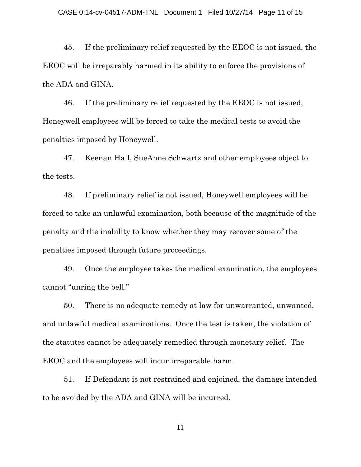45. If the preliminary relief requested by the EEOC is not issued, the EEOC will be irreparably harmed in its ability to enforce the provisions of the ADA and GINA.

46. If the preliminary relief requested by the EEOC is not issued, Honeywell employees will be forced to take the medical tests to avoid the penalties imposed by Honeywell.

47. Keenan Hall, SueAnne Schwartz and other employees object to the tests.

48. If preliminary relief is not issued, Honeywell employees will be forced to take an unlawful examination, both because of the magnitude of the penalty and the inability to know whether they may recover some of the penalties imposed through future proceedings.

49. Once the employee takes the medical examination, the employees cannot "unring the bell."

50. There is no adequate remedy at law for unwarranted, unwanted, and unlawful medical examinations. Once the test is taken, the violation of the statutes cannot be adequately remedied through monetary relief. The EEOC and the employees will incur irreparable harm.

51. If Defendant is not restrained and enjoined, the damage intended to be avoided by the ADA and GINA will be incurred.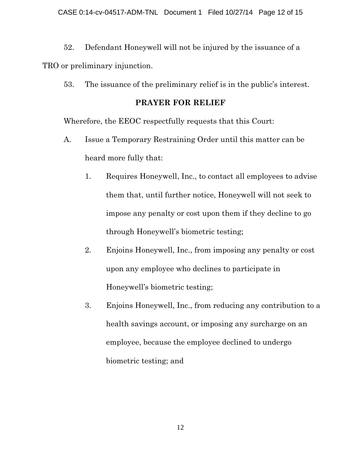52. Defendant Honeywell will not be injured by the issuance of a TRO or preliminary injunction.

53. The issuance of the preliminary relief is in the public's interest.

# **PRAYER FOR RELIEF**

Wherefore, the EEOC respectfully requests that this Court:

- A. Issue a Temporary Restraining Order until this matter can be heard more fully that:
	- 1. Requires Honeywell, Inc., to contact all employees to advise them that, until further notice, Honeywell will not seek to impose any penalty or cost upon them if they decline to go through Honeywell's biometric testing;
	- 2. Enjoins Honeywell, Inc., from imposing any penalty or cost upon any employee who declines to participate in Honeywell's biometric testing;
	- 3. Enjoins Honeywell, Inc., from reducing any contribution to a health savings account, or imposing any surcharge on an employee, because the employee declined to undergo biometric testing; and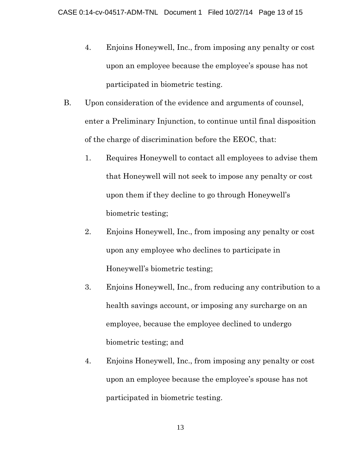- 4. Enjoins Honeywell, Inc., from imposing any penalty or cost upon an employee because the employee's spouse has not participated in biometric testing.
- B. Upon consideration of the evidence and arguments of counsel, enter a Preliminary Injunction, to continue until final disposition of the charge of discrimination before the EEOC, that:
	- 1. Requires Honeywell to contact all employees to advise them that Honeywell will not seek to impose any penalty or cost upon them if they decline to go through Honeywell's biometric testing;
	- 2. Enjoins Honeywell, Inc., from imposing any penalty or cost upon any employee who declines to participate in Honeywell's biometric testing;
	- 3. Enjoins Honeywell, Inc., from reducing any contribution to a health savings account, or imposing any surcharge on an employee, because the employee declined to undergo biometric testing; and
	- 4. Enjoins Honeywell, Inc., from imposing any penalty or cost upon an employee because the employee's spouse has not participated in biometric testing.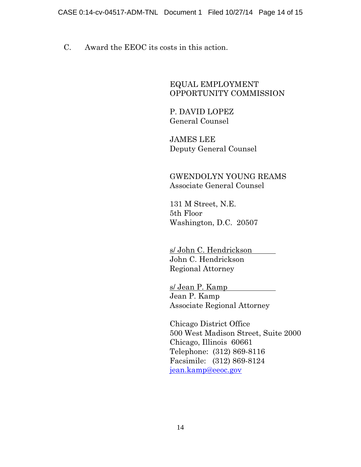C. Award the EEOC its costs in this action.

EQUAL EMPLOYMENT OPPORTUNITY COMMISSION

P. DAVID LOPEZ General Counsel

JAMES LEE Deputy General Counsel

GWENDOLYN YOUNG REAMS Associate General Counsel

131 M Street, N.E. 5th Floor Washington, D.C. 20507

s/ John C. Hendrickson John C. Hendrickson Regional Attorney

s/ Jean P. Kamp Jean P. Kamp Associate Regional Attorney

Chicago District Office 500 West Madison Street, Suite 2000 Chicago, Illinois 60661 Telephone: (312) 869-8116 Facsimile: (312) 869-8124 [jean.kamp@eeoc.gov](mailto:jean.kamp@eeoc.gov)